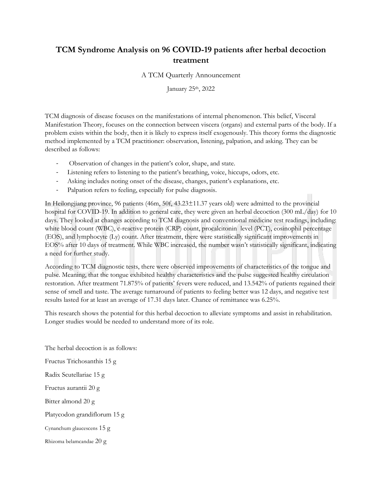## **TCM Syndrome Analysis on 96 COVID-19 patients after herbal decoction treatment**

A TCM Quarterly Announcement

January 25th, 2022

TCM diagnosis of disease focuses on the manifestations of internal phenomenon. This belief, Visceral Manifestation Theory, focuses on the connection between viscera (organs) and external parts of the body. If a problem exists within the body, then it is likely to express itself exogenously. This theory forms the diagnostic method implemented by a TCM practitioner: observation, listening, palpation, and asking. They can be described as follows:

- Observation of changes in the patient's color, shape, and state.
- Listening refers to listening to the patient's breathing, voice, hiccups, odors, etc.
- Asking includes noting onset of the disease, changes, patient's explanations, etc.
- Palpation refers to feeling, especially for pulse diagnosis.

In Heilongjiang province, 96 patients (46m, 50f, 43.23±11.37 years old) were admitted to the provincial hospital for COVID-19. In addition to general care, they were given an herbal decoction (300 mL/day) for 10 days. They looked at changes according to TCM diagnosis and conventional medicine test readings, including: white blood count (WBC), c-reactive protein (CRP) count, procalcitonin level (PCT), eosinophil percentage (EOS), and lymphocyte (Ly) count. After treatment, there were statistically significant improvements in EOS% after 10 days of treatment. While WBC increased, the number wasn't statistically significant, indicating a need for further study.

According to TCM diagnostic tests, there were observed improvements of characteristics of the tongue and pulse. Meaning, that the tongue exhibited healthy characteristics and the pulse suggested healthy circulation restoration. After treatment 71.875% of patients' fevers were reduced, and 13.542% of patients regained their sense of smell and taste. The average turnaround of patients to feeling better was 12 days, and negative test results lasted for at least an average of 17.31 days later. Chance of remittance was 6.25%.

This research shows the potential for this herbal decoction to alleviate symptoms and assist in rehabilitation. Longer studies would be needed to understand more of its role.

The herbal decoction is as follows: Fructus Trichosanthis 15 g Radix Scutellariae 15 g Fructus aurantii 20 g Bitter almond 20 g Platycodon grandiflorum 15 g Cynanchum glaucescens 15 g Rhizoma belamcandae 20 g